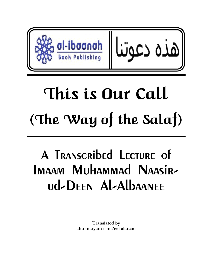

# This is Our Call (The Way of the Salaf)

# A Transcribed Lecture of Imaam Muhammad Naasirud-Deen Al-Albaanee

**Translated by abu maryam isma'eel alarcon**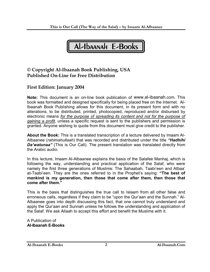

## **© Copyright Al-Ibaanah Book Publishing, USA Published On-Line for Free Distribution**

### **First Edition: January 2004**

**Note:** This document is an on-line book publication of www.al-ibaanah.com. This book was formatted and designed specifically for being placed free on the Internet. Al-Ibaanah Book Publishing allows for this document, in its present form and with no alterations, to be distributed, printed, photocopied, reproduced and/or disbursed by electronic means *for the purpose of spreading its content and not for the purpose of gaining a profit,* unless a specific request is sent to the publishers and permission is granted. Anyone wishing to quote from this document must give credit to the publisher.

**About the Book:** This is a translated transcription of a lecture delivered by Imaam Al-Albaanee (*rahimahullaah*) that was recorded and distributed under the title *"Hadhihi*  **Da'watunaa**" (This is Our Call). The present translation was translated directly from the Arabic audio.

In this lecture, Imaam Al-Albaanee explains the basis of the Salafee Manhaj, which is following the way, understanding and practical application of the Salaf, who were namely the first three generations of Muslims: The Sahaabah, Taabi'een and Atbaa' at-Taabi'een. They are the ones referred to in the Prophet's saying: **"The best of mankind is my generation, then those that come after them, then those that come after them."**

This is the basis that distinguishes the true call to Islaam from all other false and erroneous calls, regardless if they claim to be "upon the Qur'aan and the Sunnah." Al-Albaanee goes into depth discussing this fact, that one cannot truly understand and apply the Qur'aan and Sunnah unless he follows the understanding and application of the Salaf. We ask Allaah to accept this effort and benefit the Muslims with it.

A Publication of **Al-Ibaanah E-Books**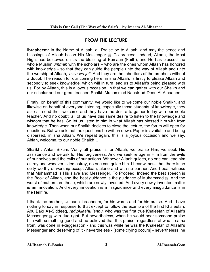# **FROM THE LECTURE**

**Ibraaheem:** In the Name of Allaah, all Praise be to Allaah, and may the peace and blessings of Allaah be on His Messenger ... To proceed: Indeed, Allaah, the Most High, has bestowed on us the blessing of Eemaan (Faith), and He has blessed the whole Muslim *ummah* with the scholars – who are the ones whom Allaah has honored with knowledge - so that they can guide the people unto the way of Allaah and unto the worship of Allaah, *'azza wa jall*. And they are the inheritors of the prophets without a doubt. The reason for our coming here, in sha Allaah, is firstly to please Allaah and secondly to seek knowledge, which will in turn lead us to Allaah's being pleased with us. For by Allaah, this is a joyous occasion, in that we can gather with our Shaikh and our scholar and our great teacher, Shaikh Muhammad Naasir-ud-Deen Al-Albaanee.

Firstly, on behalf of this community, we would like to welcome our noble Shaikh, and likewise on behalf of everyone listening, especially those students of knowledge, they also all send their welcome and they have the desire to gather today with our noble teacher. And no doubt, all of us have this same desire to listen to the knowledge and wisdom that he has. So let us listen to him in what Allaah has blessed him with from knowledge. Then when our Shaikh decides to close the lecture, the forum will open for questions. But we ask that the questions be written down. Paper is available and being dispersed, in sha Allaah. We repeat again, this is a joyous occasion and we say, Ahlan, welcome, to our noble Shaikh…

**Shaikh:** Ahlan Bikum. Verily all praise is for Allaah, we praise Him, we seek His assistance and we ask for His forgiveness. And we seek refuge in Him from the evils of our selves and the evils of our actions. Whoever Allaah guides, no one can lead him astray and whoever is led astray, no one can guide him. I bear witness that there is no deity worthy of worship except Allaah, alone and with no partner. And I bear witness that Muhammad is His slave and Messenger. To Proceed: Indeed the best speech is the Book of Allaah, and the best guidance is the guidance of Muhammad  $\frac{1}{26}$ . And the worst of matters are those, which are newly invented. And every newly invented matter is an innovation. And every innovation is a misguidance and every misguidance is in the Hellfire.

I thank the brother, Ustaadh Ibraaheem, for his words and for his praise. And I have nothing to say in response to that except to follow the example of the first Khaleefah, Abu Bakr As-Siddeeq, *radyAllaahu 'anhu*, who was the first true Khaleefah of Allaah's Messenger  $\frac{1}{20}$  with due right. But nevertheless, when he would hear someone praise him with something good and he believed that this praise, regardless of who it came from, was done in exaggeration - and this was while he was the Khaleefah of Allaah's Messenger and deserving of it - nevertheless - [some crying occurs] - nevertheless, he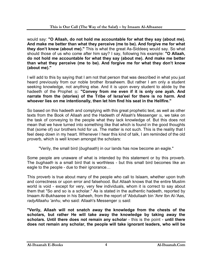would say: **"O Allaah, do not hold me accountable for what they say (about me). And make me better than what they perceive (me to be). And forgive me for what they don't know (about me)."** This is what the great As-Siddeeq would say. So what should those of us who come after him say? I say, following his example: **"O Allaah, do not hold me accountable for what they say (about me). And make me better than what they perceive (me to be). And forgive me for what they don't know (about me)."**

I will add to this by saying that I am not that person that was described in what you just heard previously from our noble brother Ibraaheem. But rather I am only a student seeking knowledge, not anything else. And it is upon every student to abide by the hadeeth of the Prophet  $\ast$ : "Convey from me even if it is only one ayah. And **narrate from the (stories) of the Tribe of Israa'eel for there is no harm. And whoever lies on me intentionally, then let him find his seat in the Hellfire."**

So based on this hadeeth and complying with this great prophetic text, as well as other texts from the Book of Allaah and the Hadeeth of Allaah's Messenger , we take on the task of conveying to the people what they lack knowledge of. But this does not mean that we have turned into something like that which is found in the good thoughts that (some of) our brothers hold for us. The matter is not such. This is the reality that I feel deep down in my heart. Whenever I hear this kind of talk, I am reminded of the old proverb, which is well known amongst the scholars:

"Verily, the small bird (*bughaath*) in our lands has now become an eagle."

Some people are unaware of what is intended by this statement or by this proverb. The *bughaath* is a small bird that is worthless - but this small bird becomes like an eagle to the people - due to their ignorance…

This proverb is true about many of the people who call to Islaam, whether upon truth and correctness or upon error and falsehood. But Allaah knows that the entire Muslim world is void - except for very, very few individuals, whom it is correct to say about them that "So and so is a scholar." As is stated in the authentic hadeeth, reported by Imaam Al-Bukhaaree in his Saheeh, from the report of 'Abdullaah bin 'Amr Ibn Al-'Aas, *radyAllaahu 'anhu*, who said: Allaah's Messenger  $\frac{1}{26}$  said:

**"Verily, Allaah will not snatch away the knowledge from the chests of the scholars, but rather He will take away the knowledge by taking away the scholars. Until there does not remain any scholar** - this is the point - **until there does not remain any scholar, the people will take ignorant leaders, who will be**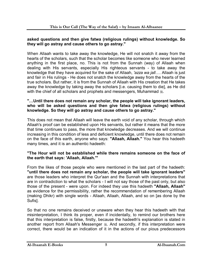#### **asked questions and then give fatwa (religious rulings) without knowledge. So they will go astray and cause others to go astray."**

When Allaah wants to take away the knowledge, He will not snatch it away from the hearts of the scholars, such that the scholar becomes like someone who never learned anything in the first place, no. This is not from the Sunnah (way) of Allaah when dealing with His servants, especially His righteous servants - to take away the knowledge that they have acquired for the sake of Allaah, *'azza wa jall*…. Allaah is just and fair in His rulings - He does not snatch the knowledge away from the hearts of the true scholars. But rather, it is from the Sunnah of Allaah with His creation that He takes away the knowledge by taking away the scholars [i.e. causing them to die], as He did with the chief of all scholars and prophets and messengers, Muhammad ...

#### **"…Until there does not remain any scholar, the people will take ignorant leaders, who will be asked questions and then give fatwa (religious rulings) without knowledge. So they will go astray and cause others to go astray."**

This does not mean that Allaah will leave the earth void of any scholar, through which Allaah's proof can be established upon His servants, but rather it means that the more that time continues to pass, the more that knowledge decreases. And we will continue increasing in this condition of less and deficient knowledge, until there does not remain on the face of this earth, anyone who says: **"Allaah, Allaah."** You hear this hadeeth many times, and it is an authentic hadeeth:

#### **"The Hour will not be established while there remains someone on the face of the earth that says: 'Allaah, Allaah.'"**

From the likes of those people who were mentioned in the last part of the hadeeth: **"until there does not remain any scholar, the people will take ignorant leaders"**  are those leaders who interpret the Qur'aan and the Sunnah with interpretations that are in contradiction to what the scholars - I will not say those of the past only, but also those of the present - were upon. For indeed they use this hadeeth **"Allaah, Allaah"**  as evidence for the permissibility, rather the recommendation of remembering Allaah (making Dhikr) with single words - Allaah, Allaah, Allaah, and so on [as done by the Sufis].

So that no one remains deceived or unaware when they hear this hadeeth with that misinterpretation, I think its proper, even if incidentally, to remind our brothers here that this interpretation is false, firstly, because the hadeeth's explanation is stated in another report from Allaah's Messenger  $\frac{4}{36}$ . And secondly, if this interpretation were correct, there would be an indication of it in the actions of our pious predecessors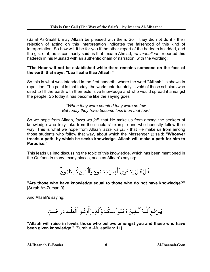(Salaf As-Saalih), may Allaah be pleased with them. So if they did not do it - their rejection of acting on this interpretation indicates the falsehood of this kind of interpretation. So how will it be for you if the other report of the hadeeth is added, and the gist of it, as is commonly said, is that Imaam Ahmad, *rahimahullaah*, reported this hadeeth in his Musnad with an authentic chain of narration, with the wording:

#### **"The Hour will not be established while there remains someone on the face of the earth that says: "Laa Ilaaha Illaa Allaah."**

So this is what was intended in the first hadeeth, where the word **"Allaah"** is shown in repetition. The point is that today, the world unfortunately is void of those scholars who used to fill the earth with their extensive knowledge and who would spread it amongst the people. So today it has become like the saying goes

> "*When they were counted they were so few But today they have become less than that few*."

So we hope from Allaah, *'azza wa jall*, that He make us from among the seekers of knowledge who truly take from the scholars' example and who honestly follow their way. This is what we hope from Allaah *'azza wa jall* - that He make us from among those students who follow that way, about which the Messenger  $\frac{1}{2}$  said: "Whoever **treads a path, by which he seeks knowledge, Allaah will make a path for him to Paradise."** 

This leads us into discussing the topic of this knowledge, which has been mentioned in the Qur'aan in many, many places, such as Allaah's saying:

قُلٌ هَلٌ يَسۡتَوىٰ ٱلَّذِينَ يَعۡلَمُونَ وَٱلۡٓذِينَ لَا يَعۡلَمُونَّ

**"Are those who have knowledge equal to those who do not have knowledge?"**  [Surah Az-Zumar: 9]

And Allaah's saying:

يَـرُفَعِ ٱللَّـهُ ٱلَّـذِينَ ءَامَنُواْ مِنكُمُ وَٱلَّذِينَ أُوتُـواْ ٱلْعِلْـمَ دَرَجَــْتٍّ

**"Allaah will raise in levels those who believe amongst you and those who have been given knowledge."** [Surah Al-Mujaadilah: 11]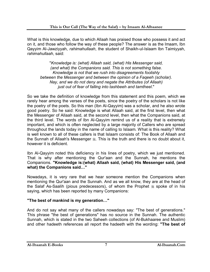What is this knowledge, due to which Allaah has praised those who possess it and act on it, and those who follow the way of these people? The answer is as the Imaam, Ibn Qayyim Al-Jawziyyah, *rahimahullaah*, the student of Shaikh-ul-Islaam Ibn Taimiyyah, *rahimahullaah*, said:

"*Knowledge is: (what) Allaah said, (what) His Messenger said, (and what) the Companions said. This is not something false. Knowledge is not that we rush into disagreements foolishly between the Messenger and between the opinion of a Faqeeh (scholar). Nay, and we do not deny and negate the Attributes (of Allaah) just out of fear of falling into tashbeeh and tamtheel*."

So we take the definition of knowledge from this statement and this poem, which we rarely hear among the verses of the poets, since the poetry of the scholars is not like the poetry of the poets. So this man (Ibn Al-Qayyim) was a scholar, and he also wrote good poetry. So he said: Knowledge is what Allaah said, at the first level, then what the Messenger of Allaah said, at the second level, then what the Companions said, at the third level. The words of Ibn Al-Qayyim remind us of a reality that is extremely important, and which is often neglected by a large majority of Callers who are spread throughout the lands today in the name of calling to Islaam. What is this reality? What is well known to all of these callers is that Islaam consists of: The Book of Allaah and the Sunnah of Allaah's Messenger  $\ddot{\text{m}}$ . This is the truth and there is no doubt about it, however it is deficient.

Ibn Al-Qayyim noted this deficiency in his lines of poetry, which we just mentioned. That is why after mentioning the Qur'aan and the Sunnah, he mentions the Companions. **"Knowledge is:(what) Allaah said, (what) His Messenger said, (and what) the Companions said…"**

Nowadays, it is very rare that we hear someone mention the Companions when mentioning the Qur'aan and the Sunnah. And as we all know, they are at the head of the Salaf As-Saalih (pious predecessors), of whom the Prophet  $\frac{4}{36}$  spoke of in his saying, which has been reported by many Companions:

#### **"The best of mankind is my generation…"**

And do not say what many of the callers nowadays say: "The best of generations." This phrase "the best of generations" has no source in the Sunnah. The authentic Sunnah, which is stated in the two Saheeh collections (of Al-Bukhaaree and Muslim) and other hadeeth references all report the hadeeth with the wording: **"The best of**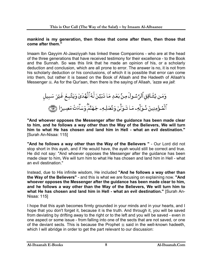#### **mankind is my generation, then those that come after them, then those that come after them."**

Imaam Ibn Qayyim Al-Jawziyyah has linked these Companions - who are at the head of the three generations that have received testimony for their excellence - to the Book and the Sunnah. So was this link that he made an opinion of his, or a scholarly deduction and conclusion, which are all prone to error. The answer is no, it is not from his scholarly deduction or his conclusions, of which it is possible that error can come into them, but rather it is based on the Book of Allaah and the Hadeeth of Allaah's Messenger  $\frac{1}{26}$ . As for the Qur'aan, then there is the saying of Allaah, *'azza wa jall*:

وَمَن يُشَاقِقِ ٱلرَّسُولَ مِنْ بَعُدِ مَا تَبَيَّنَ لَهُ ٱلْهُدَىٰ وَيَتَّبِعُ غَيْرَ سَبِيل ٱلۡمُؤۡمِنِينَ شُوَلِّهِۦ مَا تَـوَلَّىٰۖ وَنُصُلِهِۦ جَهَنَّمۡٓ وَسَآءَتُ مَصِيرًا ۞

**"And whoever opposes the Messenger after the guidance has been made clear to him, and he follows a way other than the Way of the Believers, We will turn him to what He has chosen and land him in Hell - what an evil destination."** [Surah An-Nisaa: 115]

**"And he follows a way other than the Way of the Believers "** - Our Lord did not stop short in this ayah, and if He would have, the ayah would still be correct and true. He did not say: "And whoever opposes the Messenger after the guidance has been made clear to him, We will turn him to what He has chosen and land him in Hell - what an evil destination."

Instead, due to His infinite wisdom, He included **"And he follows a way other than the Way of the Believers"** - and this is what we are focusing on explaining now. **"And whoever opposes the Messenger after the guidance has been made clear to him, and he follows a way other than the Way of the Believers, We will turn him to what He has chosen and land him in Hell - what an evil destination."** [Surah An-Nisaa: 115]

I hope that this ayah becomes firmly grounded in your minds and in your hearts, and I hope that you don't forget it, because it is the truth. And through it, you will be saved from deviating by drifting away to the right or to the left and you will be saved - even in one aspect or some issue - from falling into one of the sects that are not saved, or one of the deviant sects. This is because the Prophet  $\frac{4}{36}$  said in the well-known hadeeth, which I will abridge in order to get the part relevant to our discussion: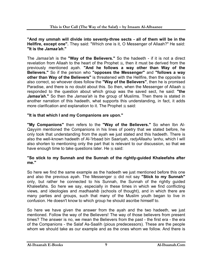**"And my ummah will divide into seventy-three sects - all of them will be in the Hellfire, except one".** They said: "Which one is it, O Messenger of Allaah?" He said: **"It is the** *Jamaa'ah***."** 

The *Jamaa'ah* is the **"Way of the Believers."** So the hadeeth - if it is not a direct revelation from Allaah to the heart of the Prophet  $\frac{4}{36}$ , then it must be derived from the previously mentioned ayah. **"And he follows a way other than Way of the Believers."** So if the person who **"opposes the Messenger"** and **"follows a way other than Way of the Believers"** is threatened with the Hellfire, then the opposite is also correct, so whoever does follow the **"Way of the Believers"**, then he is promised Paradise, and there is no doubt about this. So then, when the Messenger of Allaah  $\frac{4}{36}$ responded to the question about which group was the saved sect, he said: **"the**  *Jamaa'ah***."** So then the *Jamaa'ah* is the group of Muslims. Then there is stated in another narration of this hadeeth, what supports this understanding, in fact, it adds more clarification and explanation to it. The Prophet  $*$  said:

#### **"It is that which I and my Companions are upon."**

**"My Companions"** then refers to the **"Way of the Believers."** So when Ibn Al-Qayyim mentioned the Companions in his lines of poetry that we stated before, he only took that understanding from the ayah we just stated and this hadeeth. There is also the well-known hadeeth of Al-'Irbaad bin Saariyah, *radyAllaahu 'anhu*, which I will also shorten to mentioning only the part that is relevant to our discussion, so that we have enough time to take questions later. He  $*$  said:

#### **"So stick to my Sunnah and the Sunnah of the rightly-guided Khaleefahs after me."**

So here we find the same example as the hadeeth we just mentioned before this one and also the previous ayah. The Messenger  $*$  did not say "Stick to my Sunnah" only, but rather he connected to his Sunnah, the Sunnah of the rightly guided Khaleefahs. So here we say, especially in these times in which we find conflicting views, and ideologies and *madhaahib* (schools of thought), and in which there are many parties and groups, such that many of the Muslim youth began to live in confusion. He doesn't know to which group he should ascribe himself to.

So here we have given the answer from the ayah and the two hadeeth, we just mentioned. Follow the way of the Believers! The way of those believers from present times? The answer is no, we mean the Believers from the past - the first era - the era of the Companions - the Salaf As-Saalih (pious predecessors). These are the people whom we should take as our example and as the ones whom we follow. And there is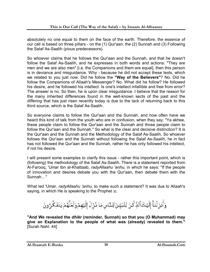absolutely no one equal to them on the face of the earth. Therefore, the essence of our call is based on three pillars - on the (1) Qur'aan, the (2) Sunnah and (3) Following the Salaf As-Saalih (pious predecessors).

So whoever claims that he follows the Qur'aan and the Sunnah, and that he doesn't follow the Salaf As-Saalih, and he expresses in both words and actions: "They are men and we are also men" [i.e. the Companions and them are equal], then this person is in deviance and misguidance. Why - because he did not accept these texts, which we related to you just now. Did he follow the **"Way of the Believers"**? No. Did he follow the Companions of Allaah's Messenger? No. What did he follow? He followed his desire, and he followed his intellect. Is one's intellect infallible and free from error? The answer is no. So then, he is upon clear misguidance. I believe that the reason for the many inherited differences found in the well-known sects of the past and the differing that has just risen recently today is due to the lack of returning back to this third source, which is the Salaf As-Saalih.

So everyone claims to follow the Qur'aan and the Sunnah, and how often have we heard this kind of talk from the youth who are in confusion, when they say: "Ya akhee, these people claim to follow the Qur'aan and the Sunnah and those people claim to follow the Qur'aan and the Sunnah." So what is the clear and decisive distinction? It is the Qur'aan and the Sunnah and the Methodology of the Salaf As-Saalih. So whoever follows the Qur'aan and the Sunnah without following the Salaf As-Saalih, he in fact has not followed the Qur'aan and the Sunnah, rather he has only followed his intellect, if not his desire.

I will present some examples to clarify this issue - rather this important point, which is (following) the methodology of the Salaf As-Saalih. There is a statement reported from Al-Farooq, 'Umar Ibn al-Khattaab, *radyAllaahu 'anhu*, in which he says: "If the people of innovation and desires debate you with the Qur'aan, then debate them with the Sunnah…"

What led 'Umar, *radyAllaahu 'anhu*, to make such a statement? It was due to Allaah's saying, in which He is speaking to the Prophet  $\frac{1}{2}$ .

وَأَنزَلْنَآ إِلَيۡكَٱلذِّكۡرَ لِتُبَيِّنَۚ لِلنَّاسِ مَا ذُرِّلَ إِلَيۡهِمۡوَلَعَلَّهُمۡ يَتَفَكَّرُونَ

**"And We revealed the** *dhikr* **(reminder, Sunnah) so that you (O Muhammad) may give an Explanation to the people of what was (already) revealed to them."**  [Surah Nahl: 44]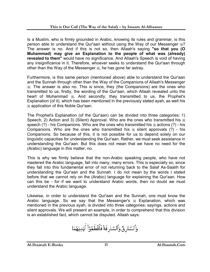Is a Muslim, who is firmly grounded in Arabic, knowing its rules and grammar, is this person able to understand the Qur'aan without using the Way of our Messenger  $\frac{162}{27}$ ? The answer is no. And if this is not so, then Allaah's saying **"so that you (O Muhammad) may give an Explanation to the people of what was (already) revealed to them"** would have no significance. And Allaah's Speech is void of having any insignificance in it. Therefore, whoever seeks to understand the Qur'aan through other than the Way of the Messenger , he has gone far astray.

Furthermore, is this same person (mentioned above) able to understand the Qur'aan and the Sunnah through other than the Way of the Companions of Allaah's Messenger . The answer is also no. This is since, they (the Companions) are the ones who transmitted to us, firstly, the wording of the Qur'aan, which Allaah revealed unto the heart of Muhammad  $\frac{1}{2}$ . And secondly, they transmitted to us, the Prophet's Explanation (of it), which has been mentioned in the previously stated ayah, as well his application of this Noble Qur'aan.

The Prophet's Explanation (of the Qur'aan) can be divided into three categories: 1) Speech, 2) Action and 3) (Silent) Approval. Who are the ones who transmitted his  $\frac{4}{36}$ speech  $(?)$  - his Companions. Who are the ones who transmitted his  $\frac{1}{2}$  actions  $(?)$  - his Companions. Who are the ones who transmitted his  $\frac{1}{2}$  silent approvals (?) - his Companions. So because of this, it is not possible for us to depend solely on our linguistic capacities for understanding the Qur'aan. Rather, we must seek assistance in understanding the Qur'aan. But this does not mean that we have no need for the (Arabic) language in this matter, no.

This is why we firmly believe that the non-Arabic speaking people, who have not mastered the Arabic language, fall into many, many errors. This is especially so, since they fall into this fundamental error of not returning back to the Salaf As-Saalih for understanding the Qur'aan and the Sunnah. I do not mean by the words I stated before that we cannot rely on the (Arabic) language for explaining the Qur'aan. How can this be - for if we want to understand Arabic words, then no doubt we must understand the Arabic language.

Likewise, in order to understand the Qur'aan and the Sunnah, one must know the Arabic language. So we say that the Messenger's  $\frac{1}{20}$  Explanation, which was mentioned in the previous ayah, is divided into three categories: sayings, actions and silent approvals. We will present an example, in order to comprehend that this division is an established fact, which cannot be disputed. Allaah says:

وَٱلسَّارِقُ وَٱلسَّارِقَةُ فَٱقۡطَعُوٓا۟ ۚ أَيۡدِيَهُمَا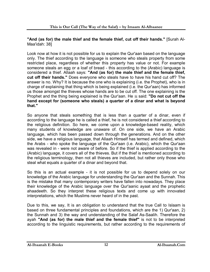#### **"And (as for) the male thief and the female thief, cut off their hands."** [Surah Al-Maa'idah: 38]

Look now at how it is not possible for us to explain the Qur'aan based on the language only. The thief according to the language is someone who steals property from some restricted place, regardless of whether this property has value or not. For example someone steals an egg or a loaf of bread - this according to the (Arabic) language is considered a thief. Allaah says: **"And (as for) the male thief and the female thief, cut off their hands."** Does everyone who steals have to have his hand cut off? The answer is no. Why? It is because the one who is explaining (i.e. the Prophet), who is in charge of explaining that thing which is being explained (i.e. the Qur'aan) has informed us those amongst the thieves whose hands are to be cut off. The one explaining is the Prophet and the thing being explained is the Qur'aan. He  $\frac{4}{36}$  said: "Do not cut off the **hand except for (someone who steals) a quarter of a dinar and what is beyond that."** 

So anyone that steals something that is less than a quarter of a dinar, even if according to the language he is called a thief, he is not considered a thief according to the religious definition. So here, we come upon a knowledge-based reality, which many students of knowledge are unaware of. On one side, we have an Arabic language, which has been passed down through the generations. And on the other side, we have a religious language, that Allaah Himself has termed and defined, which the Arabs - who spoke the language of the Qur'aan (i.e. Arabic), which the Qur'aan was revealed in - were not aware of before. So if the thief is applied according to the (Arabic) language, it covers all of the thieves. But if the thief is mentioned according to the religious terminology, then not all thieves are included, but rather only those who steal what equals a quarter of a dinar and beyond that.

So this is an actual example - it is not possible for us to depend solely on our knowledge of the Arabic language for understanding the Qur'aan and the Sunnah. This is the mistake that many contemporary writers have fallen into nowadays. They place their knowledge of the Arabic language over the Qur'aanic ayaat and the prophetic ahaadeeth. So they interpret these religious texts and come up with innovated interpretations, which the Muslims never heard of in the past.

Due to this, we say, It is an obligation to understand that the true Call to Islaam is based on three fundamental principles and foundations, which are the 1) Qur'aan, 2) the Sunnah and 3) the way and understanding of the Salaf As-Saalih. Therefore the ayah **"And (as for) the male thief and the female thief"** is not to be interpreted according to the linguistic requirements, but rather according to the requirements of

#### **Al-Ibaanah E-Books Al-Ibaanah.Com 12**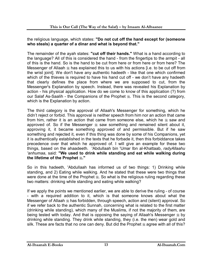the religious language, which states: **"Do not cut off the hand except for (someone who steals) a quarter of a dinar and what is beyond that."**

The remainder of the ayah states: **"cut off their hands."** What is a hand according to the language? All of this is considered the hand - from the fingertips to the armpit - all of this is the hand. So is the hand to be cut from here or from here or from here? The Messenger of Allaah  $\frac{1}{26}$  has explained this to us with his actions [i.e. to be cut off from the wrist joint]. We don't have any authentic hadeeth - like that one which confirmed which of the thieves is required to have his hand cut off - we don't have any hadeeth that clearly defines the place from where we are supposed to cut, from the Messenger's Explanation by speech. Instead, there was revealed his Explanation by action - his physical application. How do we come to know of this application (?) from our Salaf As-Saalih - the Companions of the Prophet . This is the second category, which is the Explanation by action.

The third category is the approval of Allaah's Messenger for something, which he didn't reject or forbid. This approval is neither speech from him nor an action that came from him, rather it is an action that came from someone else, which he  $\frac{1}{20}$  saw and approved of. So if the Messenger  $*$  saw something and remained silent about it, approving it, it became something approved of and permissible. But if he saw something and rejected it, even if this thing was done by some of his Companions, yet it is authentically established in the texts that he forbade it, then this forbiddance takes precedence over that which he approved of. I will give an example for these two things, based on the ahaadeeth. 'Abdullaah bin 'Umar Ibn al-Khattaab, *radyAllaahu 'anhumaa*, said: **"We used to drink while standing and eat while walking during the lifetime of the Prophet ."**

So in this hadeeth, 'Abdullaah has informed us of two things: 1) Drinking while standing, and 2) Eating while walking. And he stated that these were two things that were done at the time of the Prophet . So what is the religious ruling regarding these two matters: drinking while standing and eating while walking?

If we apply the points we mentioned earlier, we are able to derive the ruling - of course - with a required addition to it, which is that someone knows about what the Messenger of Allaah  $\frac{1}{26}$  has forbidden, through speech, action and (silent) approval. So if we refer back to the authentic Sunnah, concerning what is related to the first matter (drinking while standing), which many of the Muslims, if not the majority of them, are being tested with today. And that is opposing the saying of Allaah's Messenger  $\frac{1}{26}$  by drinking while standing. They drink while standing, they (i.e. the men) wear gold and silk. These are facts that no one can deny. But did the Prophet  $\frac{1}{26}$  agree with all of this?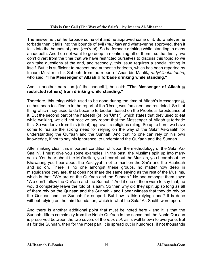The answer is that he forbade some of it and he approved some of it. So whatever he forbade then it falls into the bounds of evil (*munkar*) and whatever he approved, then it falls into the bounds of good (*ma'roof*). So he forbade drinking while standing in many ahaadeeth. And I do not want to go deep in mentioning all of them - so that firstly, we don't divert from the time that we have restricted ourselves to discuss this topic so we can take questions at the end, and secondly, this issue requires a special sitting in itself. But it is sufficient to present one authentic hadeeth, which has been reported by Imaam Muslim in his Saheeh, from the report of Anas bin Maalik, *radyAllaahu 'anhu*, who said: "The Messenger of Allaah  $*$  forbade drinking while standing."

#### And in another narration [of the hadeeth], he said: "The Messenger of Allaah  $\frac{46}{36}$ **restricted (others) from drinking while standing."**

Therefore, this thing which used to be done during the time of Allaah's Messenger  $\ddot{\ast}$ , as has been testified to in the report of Ibn 'Umar, was forsaken and restricted. So that thing which they used to do became forbidden, based on the Prophet's forbiddance of it. But the second part of the hadeeth (of Ibn 'Umar), which states that they used to eat while walking, we did not receive any report that the Messenger of Allaah  $\frac{1}{26}$  forbade this. So we derive from this (silent) approval, a religious ruling. So up to here, we have come to realize the strong need for relying on the way of the Salaf As-Saalih for understanding the Qur'aan and the Sunnah. And that no one can rely on his own knowledge, if not to say his ignorance, to understand the Qur'aan and the Sunnah.

After making clear this important condition of "upon the methodology of the Salaf As-Saalih", I must give you some examples. In the past, the Muslims split up into many sects. You hear about the Mu'tazilah, you hear about the Murji'ah, you hear about the Khawaarij, you hear about the Zaidiyyah, not to mention the Shi'a and the Raafidah and so on. There is no one amongst these groups, no matter how deep in misguidance they are, that does not share the same saying as the rest of the Muslims, which is that: "We are on the Qur'aan and the Sunnah." No one amongst them says: "We don't follow the Qur'aan and the Sunnah." And if one of them were to say that, he would completely leave the fold of Islaam. So then why did they split up so long as all of them rely on the Qur'aan and the Sunnah - and I bear witness that they do rely on the Qur'aan and the Sunnah for support. But how is this relying done? It is done without relying on the third foundation, which is what the Salaf As-Saalih were upon.

And there is another additional point that must be noted here - and it is that the Sunnah differs completely from the Noble Qur'aan in the sense that the Noble Qur'aan is preserved between the two covers of the *mus-haf*, as is well known to everyone. But as for the Sunnah, then for the most part, it is spread out in hundreds, if not thousands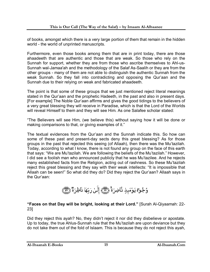of books, amongst which there is a very large portion of them that remain in the hidden world - the world of unprinted manuscripts.

Furthermore, even those books among them that are in print today, there are those ahaadeeth that are authentic and those that are weak. So those who rely on the Sunnah for support, whether they are from those who ascribe themselves to Ahl-us-Sunnah wal-Jamaa'ah and the methodology of the Salaf As-Saalih or they are from the other groups - many of them are not able to distinguish the authentic Sunnah from the weak Sunnah. So they fall into contradicting and opposing the Qur'aan and the Sunnah due to their relying on weak and fabricated ahaadeeth.

The point is that some of these groups that we just mentioned reject literal meanings stated in the Qur'aan and the prophetic Hadeeth, in the past and also in present days. [For example] The Noble Qur'aan affirms and gives the good tidings to the believers of a very great blessing they will receive in Paradise, which is that the Lord of the Worlds will reveal Himself to them and they will see Him. As one Salafee scholar stated:

"The Believers will see Him, (we believe this) without saying how it will be done or making comparisons to that, or giving examples of it."

The textual evidences from the Qur'aan and the Sunnah indicate this. So how can some of these past and present-day sects deny this great blessing? As for those groups in the past that rejected this seeing (of Allaah), then there was the Mu'tazilah. Today, according to what I know, there is not found any group on the face of this earth that says: "We are Mu'tazilah. We are following the beliefs of the Mu'tazilah." However, I did see a foolish man who announced publicly that he was Mu'tazilee. And he rejects many established facts from the Religion, acting out of rashness. So these Mu'tazilah reject this great blessing and they say with their weak intellects: "It is impossible that Allaah can be seen!" So what did they do? Did they reject the Qur'aan? Allaah says in the Qur'aan:

وُجُوهُ يَوُمَىٕذٍ نَّاضِرَةٌ ۗ ٱلِّيْ رَبِّهَا نَاظِرَةٌ ٱلْٓ ۖ

#### **"Faces on that Day will be bright, looking at their Lord."** [Surah Al-Qiyaamah: 22- 23]

Did they reject this ayah? No, they didn't reject it nor did they disbelieve or apostate. Up to today, the true Ahlus-Sunnah rule that the Mu'tazilah are upon deviance but they do not take them out of the fold of Islaam. This is because they do not reject this ayah,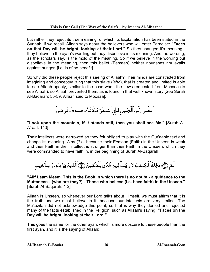but rather they reject its true meaning, of which its Explanation has been stated in the Sunnah, if we recall. Allaah says about the believers who will enter Paradise: **"Faces on that Day will be bright, looking at their Lord."** So they changed it's meaning they believe in the ayah's wording but they disbelieve in its meaning. And the wording, as the scholars say, is the mold of the meaning. So if we believe in the wording but disbelieve in the meaning, then this belief (Eemaan) neither nourishes nor avails against hunger. [i.e. is of no benefit]

So why did these people reject this seeing of Allaah? Their minds are constricted from imagining and conceptualizing that this slave (*'abd*), that is created and limited is able to see Allaah openly, similar to the case when the Jews requested from Moosaa (to see Allaah), so Allaah prevented them, as is found in that well known story [See Surah Al-Baqarah: 55-59, Allaah said to Moosaa]:

ٱنظُرُ إِلَى ٱلْجَبَلِ فَإِن ٱسْتَقَرَّ مَكَانَـهُۥ فَسَوُفَ تَرَىٰنِيَّ

**"Look upon the mountain, if it stands still, then you shall see Me."** [Surah Al-A'raaf: 143]

Their intellects were narrowed so they felt obliged to play with the Qur'aanic text and change its meaning. Why (?) - because their Eemaan (Faith) in the Unseen is weak and their Faith in their intellect is stronger than their Faith in the Unseen, which they were commanded to have faith in, in the beginning of Surah Al-Baqarah:

الَّمٓ ۞ ذَٰلِكَ ٱلۡكِتَـٰبُ لَا رَيۡبَ فِيهِ هُدًى لِّلۡمُتَّقِينَ ۞ ٱلَّذِينَ يُؤۡمِنُونَ بِٱلۡغَيۡب

**"Alif Laam Meem. This is the Book in which there is no doubt - a guidance to the Muttaqeen - (who are they?) - Those who believe (i.e. have faith) in the Unseen."** [Surah Al-Baqarah: 1-2]

Allaah is Unseen, so whenever our Lord talks about Himself, we must affirm that it is the truth and we must believe in it, because our intellects are very limited. The Mu'tazilah did not acknowledge this point, so that is why they denied and rejected many of the facts established in the Religion, such as Allaah's saying: **"Faces on the Day will be bright, looking at their Lord."** 

This goes the same for the other ayah, which is more obscure to these people than the first ayah, and it is the saying of Allaah: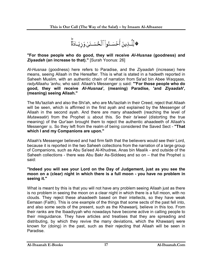**۞**لِّلَّـذِينَ أَحۡسَـنُوا۟ ٱلۡحُسۡـنَىٰ وَزِيَـادَةٌۚ

#### **"For those people who do good, they will receive** *Al-Husnaa* **(goodness) and**  *Ziyaadah* **(an increase to that)."** [Surah Yoonus: 26]

*Al-Husnaa* (goodness) here refers to Paradise, and the *Ziyaadah* (increase) here means, seeing Allaah in the Hereafter. This is what is stated in a hadeeth reported in Saheeh Muslim, with an authentic chain of narration from Sa'ad bin Abee Waqqaas, radyAllaahu 'anhu, who said: Allaah's Messenger  $\ast$  said: "**For those people who do good, they will receive** *Al-Husnaa***', (meaning) Paradise, 'and** *Ziyaadah***', (meaning) seeing Allaah."** 

The Mu'tazilah and also the Shi'ah, who are Mu'tazilah in their Creed, reject that Allaah will be seen, which is affirmed in the first ayah and explained by the Messenger of Allaah in the second ayah. And there are many ahaadeeth (reaching the level of *Mutawaatir*) from the Prophet  $*$  about this. So their *ta'weel* (distorting the true meaning) of the Qur'aan brought them to reject the authentic ahaadeeth of Allaah's Messenger  $\ddot{\textbf{x}}$ . So they left from the realm of being considered the Saved Sect - "That **which I and my Companions are upon."** 

Allaah's Messenger believed and had firm faith that the believers would see their Lord, because it is reported in the two Saheeh collections from the narration of a large group of Companions, such as Abu Sa'eed Al-Khudree, Anas bin Maalik - and outside of the Saheeh collections - there was Abu Bakr As-Siddeeq and so on – that the Prophet  $\frac{1}{26}$ said:

#### **"Indeed you will see your Lord on the Day of Judgement, just as you see the moon on a (clear) night in which there is a full moon - you have no problem in seeing it."**

What is meant by this is that you will not have any problem seeing Allaah just as there is no problem in seeing the moon on a clear night in which there is a full moon, with no clouds. They reject these ahaadeeth based on their intellects, so they have weak Eemaan (Faith). This is one example of the things that some sects of the past fell into, and also some sects of the present, such as the Khawaarij, believe in this too. From their ranks are the Ibaadiyyah who nowadays have become active in calling people to their misguidance. They have articles and treatises that they are spreading and distributing, by which they revive the many deviations, which the Khawaarij were known for (doing) in the past, such as their rejecting that Allaah will be seen in Paradise.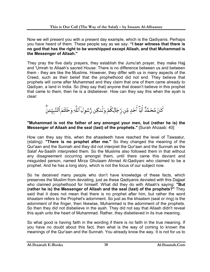Now we will present you with a present day example, which is the Qadiyanis. Perhaps you have heard of them. These people say as we say: **"I bear witness that there is no god that has the right to be worshipped except Allaah, and that Muhammad is the Messenger of Allaah."** 

They pray the five daily prayers, they establish the Jumu'ah prayer, they make Hajj and 'Umrah to Allaah's sacred House. There is no difference between us and between them - they are like the Muslims. However, they differ with us in many aspects of the Creed, such as their belief that the prophethood did not end. They believe that prophets will come after Muhammad and they claim that one of them came already to Qadiyan, a land in India. So (they say that) anyone that doesn't believe in this prophet that came to them, then he is a disbeliever. How can they say this when the ayah is clear:

كَانَ مُحَمَّدٌ أَبَآ أَحَدٍ مِّن رِّجَالِكُمٌ وَلَـٰكِن رَّسُولَ ٱللَّهِ وَخَاتَمَ ٱلنَّبِيِّــُنَّ

#### **"Muhammad is not the father of any amongst your men, but (rather he is) the Messenger of Allaah and the seal (last) of the prophets."** [Surah Ahzaab: 40]

How can they say this, when the ahaadeeth have reached the level of Tawaatur, (stating): **"There is no prophet after me."** So they changed the meaning of the Qur'aan and the Sunnah and they did not interpret the Qur'aan and the Sunnah as the Salaf As-Saalih interpreted them. So the Muslims also followed them in that without any disagreement occurring amongst them, until there came this deviant and misguided person, named Mirza Ghulaam Ahmad Al-Qadiyani who claimed to be a prophet. And he has a long story, which is not the focus of our subject now.

So he deceived many people who don't have knowledge of these facts, which preserves the Muslim from deviating, just as these Qadiyanis deviated with this Dajjaal who claimed prophethood for himself. What did they do with Allaah's saying: **"But (rather he is) the Messenger of Allaah and the seal (last) of the prophets?"** They said that it does not mean that there is no prophet after him, but rather the word *khaatam* refers to the Prophet's adornment. So just as the *khaatam* (seal or ring) is the adornment of the finger, then likewise, Muhammad is the adornment of the prophets. So then they did not disbelieve in the ayah. They did not say that Allaah didn't reveal this ayah unto the heart of Muhammad. Rather, they disbelieved in its true meaning.

So what good is having faith in the wording if there is no faith in the true meaning. If you have no doubt about this fact, then what is the way of coming to known the meanings of the Qur'aan and the Sunnah. You already know the way. It is not for us to